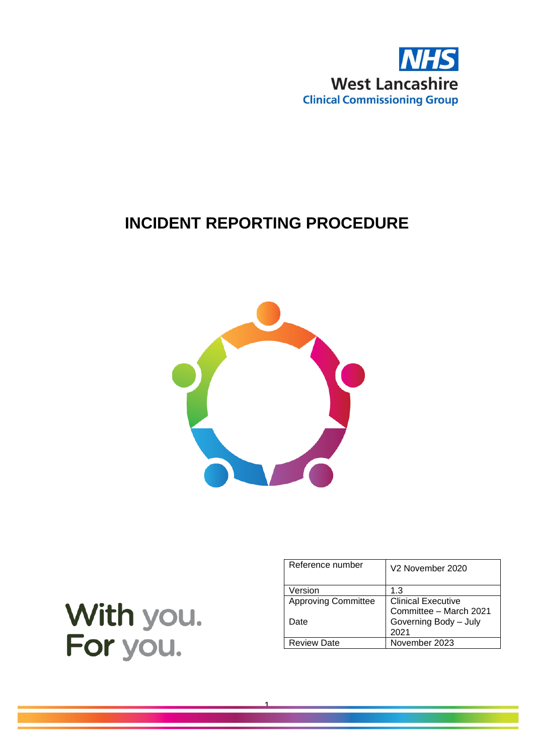

## **INCIDENT REPORTING PROCEDURE**



1

| With you. |
|-----------|
| For you.  |

| Reference number           | V <sub>2</sub> November 2020 |
|----------------------------|------------------------------|
| Version                    | 1.3                          |
| <b>Approving Committee</b> | <b>Clinical Executive</b>    |
|                            | Committee - March 2021       |
| Date                       | Governing Body - July        |
|                            | 2021                         |
| <b>Review Date</b>         | November 2023                |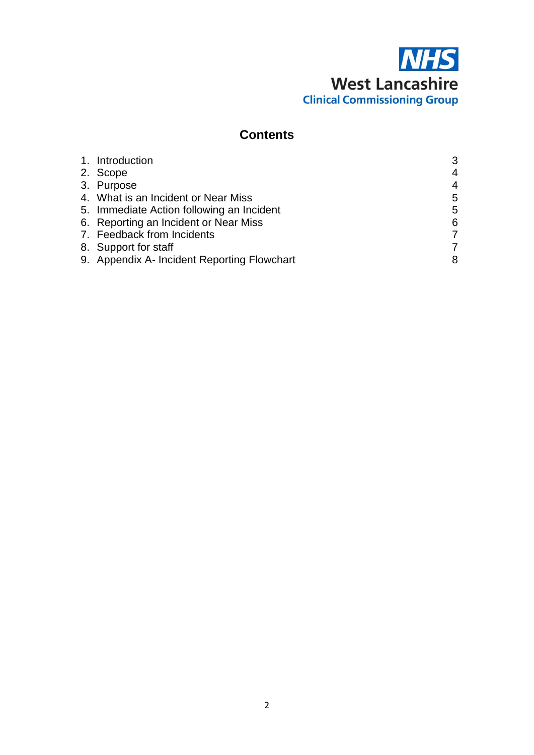# **NHS West Lancashire Clinical Commissioning Group**

#### **Contents**

| 1. Introduction                             | 3              |
|---------------------------------------------|----------------|
| 2. Scope                                    | $\overline{4}$ |
| 3. Purpose                                  | $\overline{4}$ |
| 4. What is an Incident or Near Miss         | 5              |
| 5. Immediate Action following an Incident   | 5              |
| 6. Reporting an Incident or Near Miss       | 6              |
| 7. Feedback from Incidents                  | 7              |
| 8. Support for staff                        | 7              |
| 9. Appendix A- Incident Reporting Flowchart | 8              |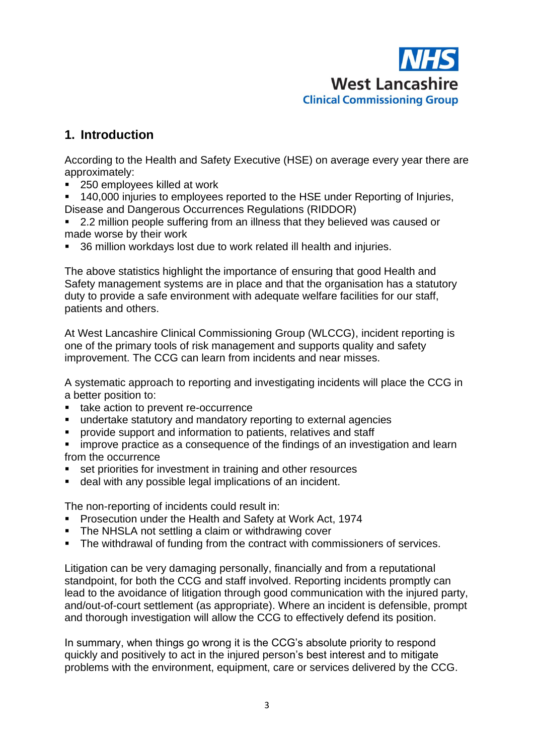

#### **1. Introduction**

According to the Health and Safety Executive (HSE) on average every year there are approximately:

- 250 employees killed at work
- 140,000 injuries to employees reported to the HSE under Reporting of Injuries, Disease and Dangerous Occurrences Regulations (RIDDOR)
- 2.2 million people suffering from an illness that they believed was caused or made worse by their work
- 36 million workdays lost due to work related ill health and injuries.

The above statistics highlight the importance of ensuring that good Health and Safety management systems are in place and that the organisation has a statutory duty to provide a safe environment with adequate welfare facilities for our staff, patients and others.

At West Lancashire Clinical Commissioning Group (WLCCG), incident reporting is one of the primary tools of risk management and supports quality and safety improvement. The CCG can learn from incidents and near misses.

A systematic approach to reporting and investigating incidents will place the CCG in a better position to:

- take action to prevent re-occurrence
- undertake statutory and mandatory reporting to external agencies
- provide support and information to patients, relatives and staff
- improve practice as a consequence of the findings of an investigation and learn from the occurrence
- set priorities for investment in training and other resources
- deal with any possible legal implications of an incident.

The non-reporting of incidents could result in:

- Prosecution under the Health and Safety at Work Act, 1974
- The NHSLA not settling a claim or withdrawing cover
- The withdrawal of funding from the contract with commissioners of services.

Litigation can be very damaging personally, financially and from a reputational standpoint, for both the CCG and staff involved. Reporting incidents promptly can lead to the avoidance of litigation through good communication with the injured party, and/out-of-court settlement (as appropriate). Where an incident is defensible, prompt and thorough investigation will allow the CCG to effectively defend its position.

In summary, when things go wrong it is the CCG's absolute priority to respond quickly and positively to act in the injured person's best interest and to mitigate problems with the environment, equipment, care or services delivered by the CCG.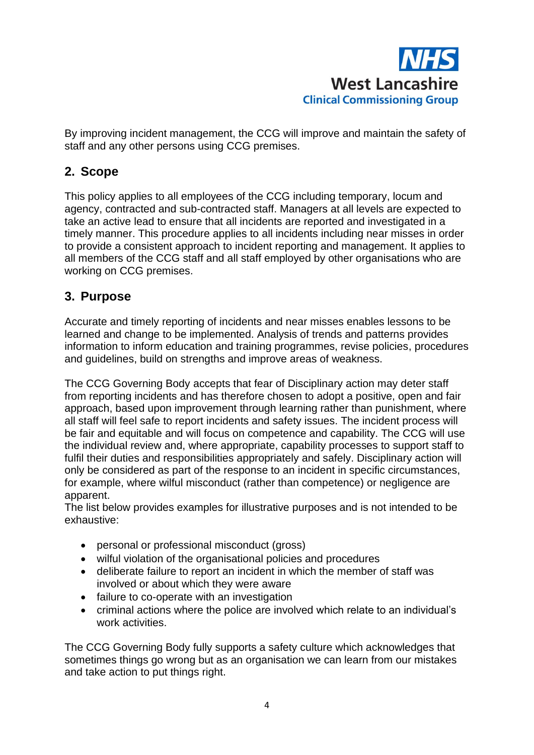

By improving incident management, the CCG will improve and maintain the safety of staff and any other persons using CCG premises.

#### **2. Scope**

This policy applies to all employees of the CCG including temporary, locum and agency, contracted and sub-contracted staff. Managers at all levels are expected to take an active lead to ensure that all incidents are reported and investigated in a timely manner. This procedure applies to all incidents including near misses in order to provide a consistent approach to incident reporting and management. It applies to all members of the CCG staff and all staff employed by other organisations who are working on CCG premises.

#### **3. Purpose**

Accurate and timely reporting of incidents and near misses enables lessons to be learned and change to be implemented. Analysis of trends and patterns provides information to inform education and training programmes, revise policies, procedures and guidelines, build on strengths and improve areas of weakness.

The CCG Governing Body accepts that fear of Disciplinary action may deter staff from reporting incidents and has therefore chosen to adopt a positive, open and fair approach, based upon improvement through learning rather than punishment, where all staff will feel safe to report incidents and safety issues. The incident process will be fair and equitable and will focus on competence and capability. The CCG will use the individual review and, where appropriate, capability processes to support staff to fulfil their duties and responsibilities appropriately and safely. Disciplinary action will only be considered as part of the response to an incident in specific circumstances, for example, where wilful misconduct (rather than competence) or negligence are apparent.

The list below provides examples for illustrative purposes and is not intended to be exhaustive:

- personal or professional misconduct (gross)
- wilful violation of the organisational policies and procedures
- deliberate failure to report an incident in which the member of staff was involved or about which they were aware
- failure to co-operate with an investigation
- criminal actions where the police are involved which relate to an individual's work activities.

The CCG Governing Body fully supports a safety culture which acknowledges that sometimes things go wrong but as an organisation we can learn from our mistakes and take action to put things right.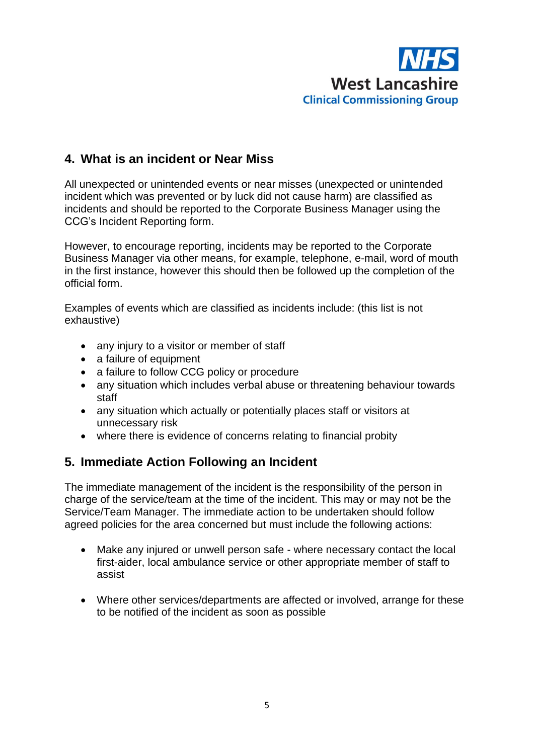

#### **4. What is an incident or Near Miss**

All unexpected or unintended events or near misses (unexpected or unintended incident which was prevented or by luck did not cause harm) are classified as incidents and should be reported to the Corporate Business Manager using the CCG's Incident Reporting form.

However, to encourage reporting, incidents may be reported to the Corporate Business Manager via other means, for example, telephone, e-mail, word of mouth in the first instance, however this should then be followed up the completion of the official form.

Examples of events which are classified as incidents include: (this list is not exhaustive)

- any injury to a visitor or member of staff
- a failure of equipment
- a failure to follow CCG policy or procedure
- any situation which includes verbal abuse or threatening behaviour towards staff
- any situation which actually or potentially places staff or visitors at unnecessary risk
- where there is evidence of concerns relating to financial probity

#### **5. Immediate Action Following an Incident**

The immediate management of the incident is the responsibility of the person in charge of the service/team at the time of the incident. This may or may not be the Service/Team Manager. The immediate action to be undertaken should follow agreed policies for the area concerned but must include the following actions:

- Make any injured or unwell person safe where necessary contact the local first-aider, local ambulance service or other appropriate member of staff to assist
- Where other services/departments are affected or involved, arrange for these to be notified of the incident as soon as possible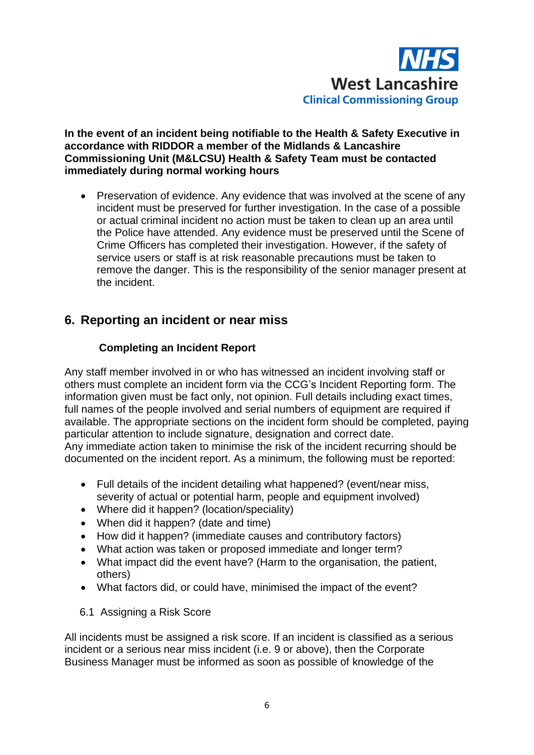

**In the event of an incident being notifiable to the Health & Safety Executive in accordance with RIDDOR a member of the Midlands & Lancashire Commissioning Unit (M&LCSU) Health & Safety Team must be contacted immediately during normal working hours** 

• Preservation of evidence. Any evidence that was involved at the scene of any incident must be preserved for further investigation. In the case of a possible or actual criminal incident no action must be taken to clean up an area until the Police have attended. Any evidence must be preserved until the Scene of Crime Officers has completed their investigation. However, if the safety of service users or staff is at risk reasonable precautions must be taken to remove the danger. This is the responsibility of the senior manager present at the incident.

#### **6. Reporting an incident or near miss**

#### **Completing an Incident Report**

Any staff member involved in or who has witnessed an incident involving staff or others must complete an incident form via the CCG's Incident Reporting form. The information given must be fact only, not opinion. Full details including exact times, full names of the people involved and serial numbers of equipment are required if available. The appropriate sections on the incident form should be completed, paying particular attention to include signature, designation and correct date. Any immediate action taken to minimise the risk of the incident recurring should be documented on the incident report. As a minimum, the following must be reported:

- Full details of the incident detailing what happened? (event/near miss, severity of actual or potential harm, people and equipment involved)
- Where did it happen? (location/speciality)
- When did it happen? (date and time)
- How did it happen? (immediate causes and contributory factors)
- What action was taken or proposed immediate and longer term?
- What impact did the event have? (Harm to the organisation, the patient, others)
- What factors did, or could have, minimised the impact of the event?
- 6.1 Assigning a Risk Score

All incidents must be assigned a risk score. If an incident is classified as a serious incident or a serious near miss incident (i.e. 9 or above), then the Corporate Business Manager must be informed as soon as possible of knowledge of the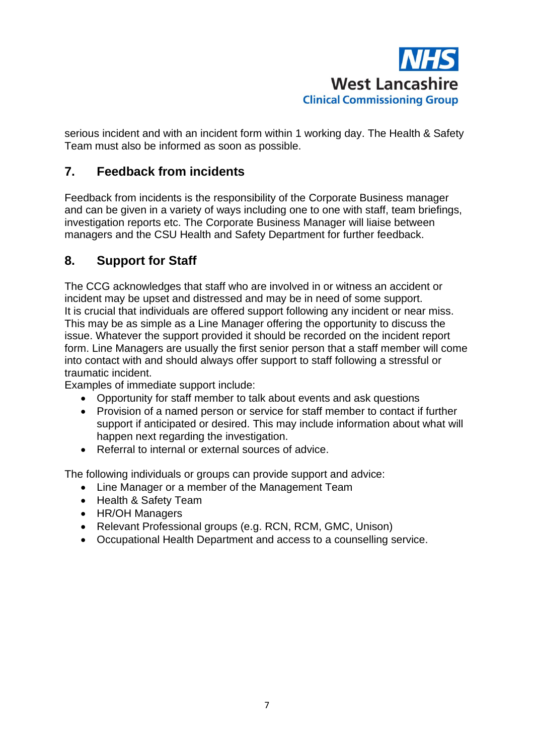

serious incident and with an incident form within 1 working day. The Health & Safety Team must also be informed as soon as possible.

#### **7. Feedback from incidents**

Feedback from incidents is the responsibility of the Corporate Business manager and can be given in a variety of ways including one to one with staff, team briefings, investigation reports etc. The Corporate Business Manager will liaise between managers and the CSU Health and Safety Department for further feedback.

#### **8. Support for Staff**

The CCG acknowledges that staff who are involved in or witness an accident or incident may be upset and distressed and may be in need of some support. It is crucial that individuals are offered support following any incident or near miss. This may be as simple as a Line Manager offering the opportunity to discuss the issue. Whatever the support provided it should be recorded on the incident report form. Line Managers are usually the first senior person that a staff member will come into contact with and should always offer support to staff following a stressful or traumatic incident.

Examples of immediate support include:

- Opportunity for staff member to talk about events and ask questions
- Provision of a named person or service for staff member to contact if further support if anticipated or desired. This may include information about what will happen next regarding the investigation.
- Referral to internal or external sources of advice.

The following individuals or groups can provide support and advice:

- Line Manager or a member of the Management Team
- Health & Safety Team
- HR/OH Managers
- Relevant Professional groups (e.g. RCN, RCM, GMC, Unison)
- Occupational Health Department and access to a counselling service.